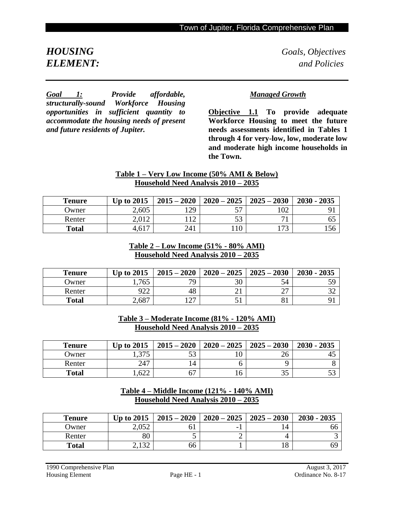*HOUSING**Goals, Objectives ELEMENT: and Policies*

*Goal 1: Provide affordable, structurally-sound Workforce Housing opportunities in sufficient quantity to accommodate the housing needs of present and future residents of Jupiter.*

## *Managed Growth*

**Objective 1.1 To provide adequate Workforce Housing to meet the future needs assessments identified in Tables 1 through 4 for very-low, low, moderate low and moderate high income households in the Town.** 

## **Table 1 – Very Low Income (50% AMI & Below) Household Need Analysis 2010 – 2035**

| <b>Tenure</b> | <b>Up to 2015</b> | $2015 - 2020$    | $2020 - 2025$ | $2025 - 2030$  | $2030 - 2035$ |
|---------------|-------------------|------------------|---------------|----------------|---------------|
| Owner         | 2,605             | 179              | --            | 102            |               |
| Renter        | 2,012             | $1^{\circ}$<br>∼ | - م<br>DЭ     | $\blacksquare$ | OJ.           |
| <b>Total</b>  | 4,617             | 241              |               | 172            | 156           |

#### **Table 2 – Low Income (51% - 80% AMI) Household Need Analysis 2010 – 2035**

| <b>Tenure</b> | <b>Up to 2015</b> | $2015 - 2020$ | $2020 - 2025$ | $2025 - 2030$ | $2030 - 2035$ |
|---------------|-------------------|---------------|---------------|---------------|---------------|
| Owner         | .,765             | 79            |               | 54            |               |
| Renter        | 922               | 48            |               | $\sim$        |               |
| <b>Total</b>  | 2,687             | $1 \cap 7$    |               |               |               |

## **Table 3 – Moderate Income (81% - 120% AMI) Household Need Analysis 2010 – 2035**

| <b>Tenure</b> | <b>Up to 2015</b> | $2015 - 2020$    | $2020 - 2025$ | $2025 - 2030$ | $2030 - 2035$ |
|---------------|-------------------|------------------|---------------|---------------|---------------|
| Owner         | 275<br>1.777      | 50<br>ээ         |               | 26            | 4.,           |
| Renter        | 247               | $\overline{A}$   |               |               |               |
| <b>Total</b>  | .622              | - <del>, ,</del> | 16            | ر. ر          | ب ر           |

#### **Table 4 – Middle Income (121% - 140% AMI) Household Need Analysis 2010 – 2035**

| <b>Tenure</b> | Up to $2015$                             | $2015 - 2020$ | $2020 - 2025$            | $2025 - 2030$ | $2030 - 2035$ |
|---------------|------------------------------------------|---------------|--------------------------|---------------|---------------|
| Owner         | 2,052                                    |               | $\overline{\phantom{0}}$ | 14            | 66            |
| Renter        | 80                                       |               |                          |               |               |
| <b>Total</b>  | 120<br>$\overline{a}$ . I $\overline{a}$ | 66            |                          |               | 69            |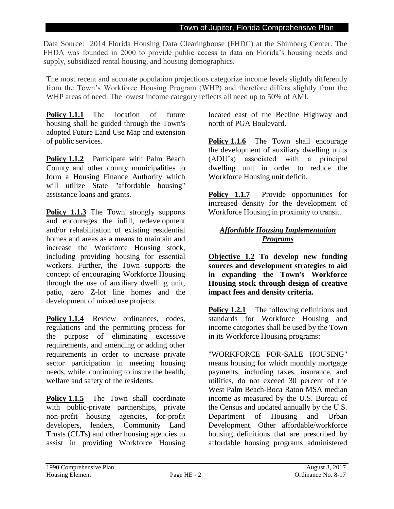Data Source: 2014 Florida Housing Data Clearinghouse (FHDC) at the Shimberg Center. The FHDA was founded in 2000 to provide public access to data on Florida's housing needs and supply, subsidized rental housing, and housing demographics.

The most recent and accurate population projections categorize income levels slightly differently from the Town's Workforce Housing Program (WHP) and therefore differs slightly from the WHP areas of need. The lowest income category reflects all need up to 50% of AMI.

**Policy 1.1.1** The location of future housing shall be guided through the Town's adopted Future Land Use Map and extension of public services.

**Policy 1.1.2** Participate with Palm Beach County and other county municipalities to form a Housing Finance Authority which will utilize State "affordable housing" assistance loans and grants.

**Policy 1.1.3** The Town strongly supports and encourages the infill, redevelopment and/or rehabilitation of existing residential homes and areas as a means to maintain and increase the Workforce Housing stock, including providing housing for essential workers. Further, the Town supports the concept of encouraging Workforce Housing through the use of auxiliary dwelling unit, patio, zero Z-lot line homes and the development of mixed use projects.

Policy 1.1.4 Review ordinances, codes, regulations and the permitting process for the purpose of eliminating excessive requirements, and amending or adding other requirements in order to increase private sector participation in meeting housing needs, while continuing to insure the health, welfare and safety of the residents.

**Policy 1.1.5** The Town shall coordinate with public-private partnerships, private non-profit housing agencies, for-profit developers, lenders, Community Land Trusts (CLTs) and other housing agencies to assist in providing Workforce Housing

located east of the Beeline Highway and north of PGA Boulevard.

**Policy 1.1.6** The Town shall encourage the development of auxiliary dwelling units (ADU's) associated with a principal dwelling unit in order to reduce the Workforce Housing unit deficit.

**Policy 1.1.7** Provide opportunities for increased density for the development of Workforce Housing in proximity to transit.

## *Affordable Housing Implementation Programs*

**Objective 1.2 To develop new funding sources and development strategies to aid in expanding the Town's Workforce Housing stock through design of creative impact fees and density criteria.** 

**Policy 1.2.1** The following definitions and standards for Workforce Housing and income categories shall be used by the Town in its Workforce Housing programs:

"WORKFORCE FOR-SALE HOUSING" means housing for which monthly mortgage payments, including taxes, insurance, and utilities, do not exceed 30 percent of the West Palm Beach-Boca Raton MSA median income as measured by the U.S. Bureau of the Census and updated annually by the U.S. Department of Housing and Urban Development. Other affordable/workforce housing definitions that are prescribed by affordable housing programs administered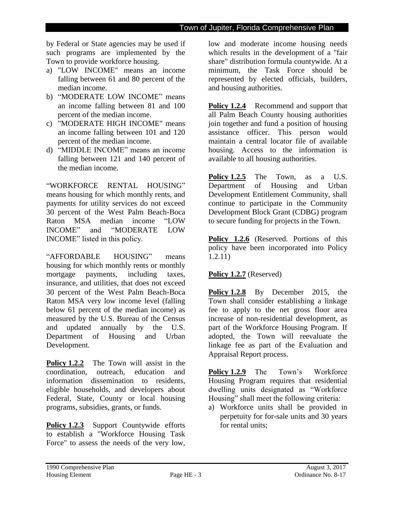by Federal or State agencies may be used if such programs are implemented by the Town to provide workforce housing.

- a) "LOW INCOME" means an income falling between 61 and 80 percent of the median income.
- b) "MODERATE LOW INCOME" means an income falling between 81 and 100 percent of the median income.
- c) "MODERATE HIGH INCOME" means an income falling between 101 and 120 percent of the median income.
- d) "MIDDLE INCOME" means an income falling between 121 and 140 percent of the median income.

"WORKFORCE RENTAL HOUSING" means housing for which monthly rents, and payments for utility services do not exceed 30 percent of the West Palm Beach-Boca Raton MSA median income "LOW INCOME" and "MODERATE LOW INCOME" listed in this policy.

"AFFORDABLE HOUSING" means housing for which monthly rents or monthly mortgage payments, including taxes, insurance, and utilities, that does not exceed 30 percent of the West Palm Beach-Boca Raton MSA very low income level (falling below 61 percent of the median income) as measured by the U.S. Bureau of the Census and updated annually by the U.S. Department of Housing and Urban Development.

**Policy 1.2.2** The Town will assist in the coordination, outreach, education and information dissemination to residents, eligible households, and developers about Federal, State, County or local housing programs, subsidies, grants, or funds.

Policy 1.2.3 Support Countywide efforts to establish a "Workforce Housing Task Force" to assess the needs of the very low,

low and moderate income housing needs which results in the development of a "fair share" distribution formula countywide. At a minimum, the Task Force should be represented by elected officials, builders, and housing authorities.

**Policy 1.2.4** Recommend and support that all Palm Beach County housing authorities join together and fund a position of housing assistance officer. This person would maintain a central locator file of available housing. Access to the information is available to all housing authorities.

**Policy 1.2.5** The Town, as a U.S. Department of Housing and Urban Development Entitlement Community, shall continue to participate in the Community Development Block Grant (CDBG) program to secure funding for projects in the Town.

Policy 1.2.6 (Reserved. Portions of this policy have been incorporated into Policy 1.2.11)

## **Policy 1.2.7** (Reserved)

**Policy 1.2.8** By December 2015, the Town shall consider establishing a linkage fee to apply to the net gross floor area increase of non-residential development, as part of the Workforce Housing Program. If adopted, the Town will reevaluate the linkage fee as part of the Evaluation and Appraisal Report process.

**Policy 1.2.9** The Town's Workforce Housing Program requires that residential dwelling units designated as "Workforce Housing" shall meet the following criteria:

a) Workforce units shall be provided in perpetuity for for-sale units and 30 years for rental units;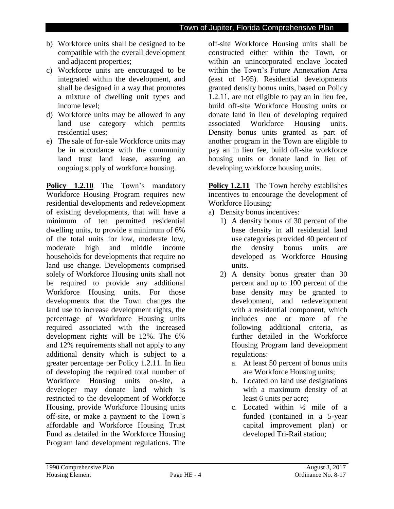- b) Workforce units shall be designed to be compatible with the overall development and adjacent properties;
- c) Workforce units are encouraged to be integrated within the development, and shall be designed in a way that promotes a mixture of dwelling unit types and income level;
- d) Workforce units may be allowed in any land use category which permits residential uses;
- e) The sale of for-sale Workforce units may be in accordance with the community land trust land lease, assuring an ongoing supply of workforce housing.

**Policy 1.2.10** The Town's mandatory Workforce Housing Program requires new residential developments and redevelopment of existing developments, that will have a minimum of ten permitted residential dwelling units, to provide a minimum of 6% of the total units for low, moderate low, moderate high and middle income households for developments that require no land use change. Developments comprised solely of Workforce Housing units shall not be required to provide any additional Workforce Housing units. For those developments that the Town changes the land use to increase development rights, the percentage of Workforce Housing units required associated with the increased development rights will be 12%. The 6% and 12% requirements shall not apply to any additional density which is subject to a greater percentage per Policy 1.2.11. In lieu of developing the required total number of Workforce Housing units on-site, a developer may donate land which is restricted to the development of Workforce Housing, provide Workforce Housing units off-site, or make a payment to the Town's affordable and Workforce Housing Trust Fund as detailed in the Workforce Housing Program land development regulations. The

off-site Workforce Housing units shall be constructed either within the Town, or within an unincorporated enclave located within the Town's Future Annexation Area (east of I-95). Residential developments granted density bonus units, based on Policy 1.2.11, are not eligible to pay an in lieu fee, build off-site Workforce Housing units or donate land in lieu of developing required associated Workforce Housing units. Density bonus units granted as part of another program in the Town are eligible to pay an in lieu fee, build off-site workforce housing units or donate land in lieu of developing workforce housing units.

**Policy 1.2.11** The Town hereby establishes incentives to encourage the development of Workforce Housing:

- a) Density bonus incentives:
	- 1) A density bonus of 30 percent of the base density in all residential land use categories provided 40 percent of the density bonus units are developed as Workforce Housing units.
	- 2) A density bonus greater than 30 percent and up to 100 percent of the base density may be granted to development, and redevelopment with a residential component, which includes one or more of the following additional criteria, as further detailed in the Workforce Housing Program land development regulations:
		- a. At least 50 percent of bonus units are Workforce Housing units;
		- b. Located on land use designations with a maximum density of at least 6 units per acre;
		- c. Located within ½ mile of a funded (contained in a 5-year capital improvement plan) or developed Tri-Rail station;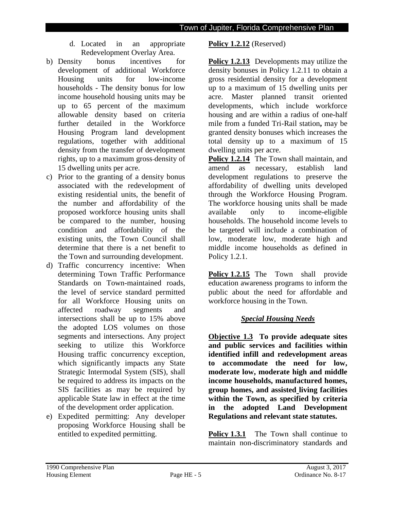- d. Located in an appropriate Redevelopment Overlay Area.
- b) Density bonus incentives for development of additional Workforce Housing units for low-income households - The density bonus for low income household housing units may be up to 65 percent of the maximum allowable density based on criteria further detailed in the Workforce Housing Program land development regulations, together with additional density from the transfer of development rights, up to a maximum gross density of 15 dwelling units per acre.
- c) Prior to the granting of a density bonus associated with the redevelopment of existing residential units, the benefit of the number and affordability of the proposed workforce housing units shall be compared to the number, housing condition and affordability of the existing units, the Town Council shall determine that there is a net benefit to the Town and surrounding development.
- d) Traffic concurrency incentive: When determining Town Traffic Performance Standards on Town-maintained roads, the level of service standard permitted for all Workforce Housing units on affected roadway segments and intersections shall be up to 15% above the adopted LOS volumes on those segments and intersections. Any project seeking to utilize this Workforce Housing traffic concurrency exception, which significantly impacts any State Strategic Intermodal System (SIS), shall be required to address its impacts on the SIS facilities as may be required by applicable State law in effect at the time of the development order application.
- e) Expedited permitting: Any developer proposing Workforce Housing shall be entitled to expedited permitting.

## **Policy 1.2.12** (Reserved)

**Policy 1.2.13** Developments may utilize the density bonuses in Policy 1.2.11 to obtain a gross residential density for a development up to a maximum of 15 dwelling units per acre. Master planned transit oriented developments, which include workforce housing and are within a radius of one-half mile from a funded Tri-Rail station**,** may be granted density bonuses which increases the total density up to a maximum of 15 dwelling units per acre.

**Policy 1.2.14** The Town shall maintain, and amend as necessary, establish land development regulations to preserve the affordability of dwelling units developed through the Workforce Housing Program. The workforce housing units shall be made available only to income-eligible households. The household income levels to be targeted will include a combination of low, moderate low, moderate high and middle income households as defined in Policy 1.2.1.

Policy 1.2.15 The Town shall provide education awareness programs to inform the public about the need for affordable and workforce housing in the Town.

## *Special Housing Needs*

**Objective 1.3 To provide adequate sites and public services and facilities within identified infill and redevelopment areas to accommodate the need for low, moderate low, moderate high and middle income households, manufactured homes, group homes, and assisted living facilities within the Town, as specified by criteria in the adopted Land Development Regulations and relevant state statutes.** 

**Policy 1.3.1** The Town shall continue to maintain non-discriminatory standards and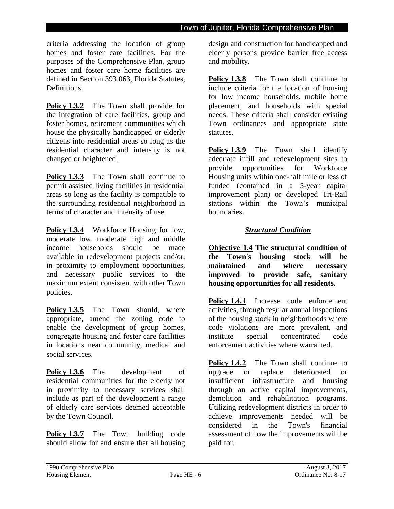criteria addressing the location of group homes and foster care facilities. For the purposes of the Comprehensive Plan, group homes and foster care home facilities are defined in Section 393.063, Florida Statutes, Definitions.

**Policy 1.3.2** The Town shall provide for the integration of care facilities, group and foster homes, retirement communities which house the physically handicapped or elderly citizens into residential areas so long as the residential character and intensity is not changed or heightened.

**Policy 1.3.3** The Town shall continue to permit assisted living facilities in residential areas so long as the facility is compatible to the surrounding residential neighborhood in terms of character and intensity of use.

Policy 1.3.4 Workforce Housing for low, moderate low, moderate high and middle income households should be made available in redevelopment projects and/or, in proximity to employment opportunities, and necessary public services to the maximum extent consistent with other Town policies.

**Policy 1.3.5** The Town should, where appropriate, amend the zoning code to enable the development of group homes, congregate housing and foster care facilities in locations near community, medical and social services.

**Policy 1.3.6** The development of residential communities for the elderly not in proximity to necessary services shall include as part of the development a range of elderly care services deemed acceptable by the Town Council.

**Policy 1.3.7** The Town building code should allow for and ensure that all housing

design and construction for handicapped and elderly persons provide barrier free access and mobility.

**Policy 1.3.8** The Town shall continue to include criteria for the location of housing for low income households, mobile home placement, and households with special needs. These criteria shall consider existing Town ordinances and appropriate state statutes.

**Policy 1.3.9** The Town shall identify adequate infill and redevelopment sites to provide opportunities for Workforce Housing units within one-half mile or less of funded (contained in a 5-year capital improvement plan) or developed Tri-Rail stations within the Town's municipal boundaries.

# *Structural Condition*

**Objective 1.4 The structural condition of the Town's housing stock will be maintained and where necessary improved to provide safe, sanitary housing opportunities for all residents.**

**Policy 1.4.1** Increase code enforcement activities, through regular annual inspections of the housing stock in neighborhoods where code violations are more prevalent, and institute special concentrated code enforcement activities where warranted.

**Policy 1.4.2** The Town shall continue to upgrade or replace deteriorated or insufficient infrastructure and housing through an active capital improvements, demolition and rehabilitation programs. Utilizing redevelopment districts in order to achieve improvements needed will be considered in the Town's financial assessment of how the improvements will be paid for.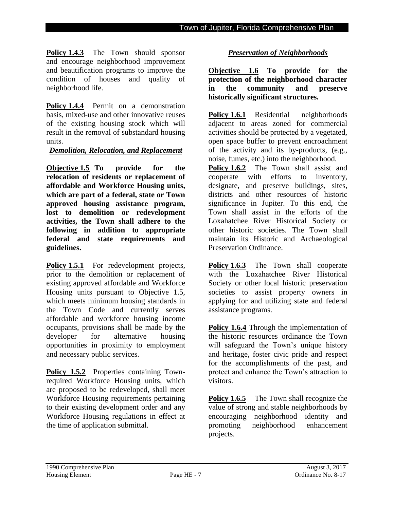Policy 1.4.3 The Town should sponsor and encourage neighborhood improvement and beautification programs to improve the condition of houses and quality of neighborhood life.

Policy 1.4.4 Permit on a demonstration basis, mixed-use and other innovative reuses of the existing housing stock which will result in the removal of substandard housing units.

#### *Demolition, Relocation, and Replacement*

**Objective 1.5 To provide for the relocation of residents or replacement of affordable and Workforce Housing units, which are part of a federal, state or Town approved housing assistance program, lost to demolition or redevelopment activities, the Town shall adhere to the following in addition to appropriate federal and state requirements and guidelines.** 

**Policy 1.5.1** For redevelopment projects, prior to the demolition or replacement of existing approved affordable and Workforce Housing units pursuant to Objective 1.5, which meets minimum housing standards in the Town Code and currently serves affordable and workforce housing income occupants, provisions shall be made by the developer for alternative housing opportunities in proximity to employment and necessary public services.

Policy 1.5.2 Properties containing Townrequired Workforce Housing units, which are proposed to be redeveloped, shall meet Workforce Housing requirements pertaining to their existing development order and any Workforce Housing regulations in effect at the time of application submittal.

## *Preservation of Neighborhoods*

**Objective 1.6 To provide for the protection of the neighborhood character in the community and preserve historically significant structures.**

**Policy 1.6.1** Residential neighborhoods adjacent to areas zoned for commercial activities should be protected by a vegetated, open space buffer to prevent encroachment of the activity and its by-products, (e.g., noise, fumes, etc.) into the neighborhood.

Policy 1.6.2 The Town shall assist and cooperate with efforts to inventory, designate, and preserve buildings, sites, districts and other resources of historic significance in Jupiter. To this end, the Town shall assist in the efforts of the Loxahatchee River Historical Society or other historic societies. The Town shall maintain its Historic and Archaeological Preservation Ordinance.

**Policy 1.6.3** The Town shall cooperate with the Loxahatchee River Historical Society or other local historic preservation societies to assist property owners in applying for and utilizing state and federal assistance programs.

**Policy 1.6.4** Through the implementation of the historic resources ordinance the Town will safeguard the Town's unique history and heritage, foster civic pride and respect for the accomplishments of the past, and protect and enhance the Town's attraction to visitors.

**Policy 1.6.5** The Town shall recognize the value of strong and stable neighborhoods by encouraging neighborhood identity and promoting neighborhood enhancement projects.